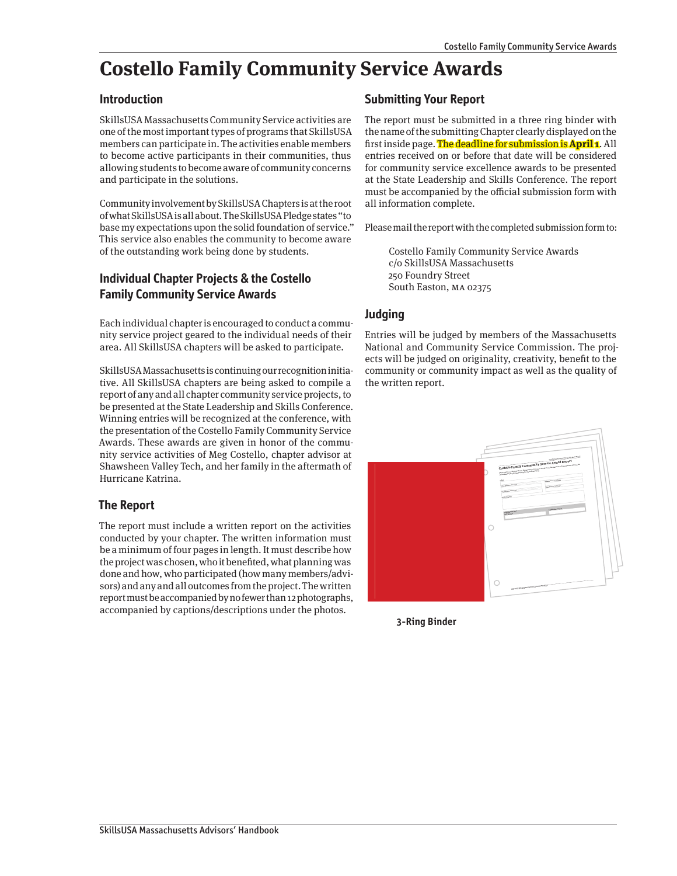# **Costello Family Community Service Awards**

#### **Introduction**

SkillsUSA Massachusetts Community Service activities are one of the most important types of programs that SkillsUSA members can participate in. The activities enable members to become active participants in their communities, thus allowing students to become aware of community concerns and participate in the solutions.

Community involvement by SkillsUSA Chapters is at the root of what SkillsUSA is all about. The SkillsUSA Pledge states "to base my expectations upon the solid foundation of service." This service also enables the community to become aware of the outstanding work being done by students.

## **Individual Chapter Projects & the Costello Family Community Service Awards**

Each individual chapter is encouraged to conduct a community service project geared to the individual needs of their area. All SkillsUSA chapters will be asked to participate.

SkillsUSA Massachusetts is continuing our recognition initiative. All SkillsUSA chapters are being asked to compile a report of any and all chapter community service projects, to be presented at the State Leadership and Skills Conference. Winning entries will be recognized at the conference, with the presentation of the Costello Family Community Service Awards. These awards are given in honor of the community service activities of Meg Costello, chapter advisor at Shawsheen Valley Tech, and her family in the aftermath of Hurricane Katrina.

#### **The Report**

The report must include a written report on the activities conducted by your chapter. The written information must be a minimum of four pages in length. It must describe how the project was chosen, who it benefited, what planning was done and how, who participated (how many members/advisors) and any and all outcomes from the project. The written report must be accompanied by no fewer than 12 photographs, accompanied by captions/descriptions under the photos.

#### **Submitting Your Report**

The report must be submitted in a three ring binder with the name of the submitting Chapter clearly displayed on the first inside page. The deadline for submission is **April 1**. All entries received on or before that date will be considered for community service excellence awards to be presented at the State Leadership and Skills Conference. The report must be accompanied by the official submission form with all information complete.

Please mail the report with the completed submission form to:

Costello Family Community Service Awards c/o SkillsUSA Massachusetts 250 Foundry Street South Easton, MA 02375

## **Judging**

Entries will be judged by members of the Massachusetts National and Community Service Commission. The projects will be judged on originality, creativity, benefit to the community or community impact as well as the quality of the written report.



**3-Ring Binder**